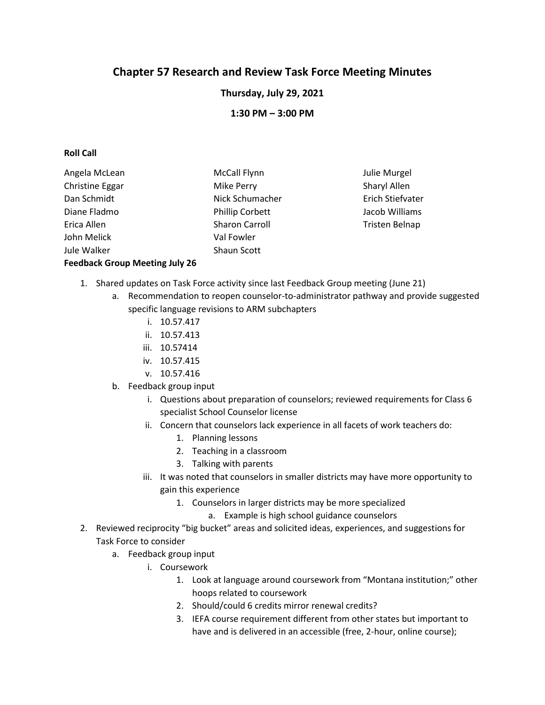# **Chapter 57 Research and Review Task Force Meeting Minutes**

**Thursday, July 29, 2021**

**1:30 PM – 3:00 PM**

## **Roll Call**

| Angela McLean                         | <b>McCall Flynn</b>    | Julie Murgel     |
|---------------------------------------|------------------------|------------------|
| Christine Eggar                       | Mike Perry             | Sharyl Allen     |
| Dan Schmidt                           | Nick Schumacher        | Erich Stiefvater |
| Diane Fladmo                          | <b>Phillip Corbett</b> | Jacob Williams   |
| Erica Allen                           | <b>Sharon Carroll</b>  | Tristen Belnap   |
| John Melick                           | Val Fowler             |                  |
| Jule Walker                           | Shaun Scott            |                  |
| <b>Feedback Group Meeting July 26</b> |                        |                  |

- 1. Shared updates on Task Force activity since last Feedback Group meeting (June 21)
	- a. Recommendation to reopen counselor-to-administrator pathway and provide suggested specific language revisions to ARM subchapters
		- i. 10.57.417
		- ii. 10.57.413
		- iii. 10.57414
		- iv. 10.57.415
		- v. 10.57.416
	- b. Feedback group input
		- i. Questions about preparation of counselors; reviewed requirements for Class 6 specialist School Counselor license
		- ii. Concern that counselors lack experience in all facets of work teachers do:
			- 1. Planning lessons
			- 2. Teaching in a classroom
			- 3. Talking with parents
		- iii. It was noted that counselors in smaller districts may have more opportunity to gain this experience
			- 1. Counselors in larger districts may be more specialized
				- a. Example is high school guidance counselors
- 2. Reviewed reciprocity "big bucket" areas and solicited ideas, experiences, and suggestions for Task Force to consider
	- a. Feedback group input
		- i. Coursework
			- 1. Look at language around coursework from "Montana institution;" other hoops related to coursework
			- 2. Should/could 6 credits mirror renewal credits?
			- 3. IEFA course requirement different from other states but important to have and is delivered in an accessible (free, 2-hour, online course);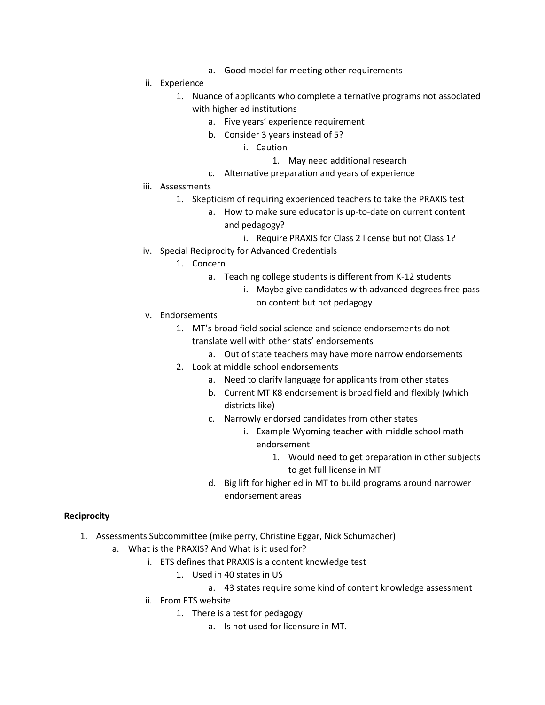- a. Good model for meeting other requirements
- ii. Experience
	- 1. Nuance of applicants who complete alternative programs not associated with higher ed institutions
		- a. Five years' experience requirement
		- b. Consider 3 years instead of 5?
			- i. Caution
				- 1. May need additional research
		- c. Alternative preparation and years of experience
- iii. Assessments
	- 1. Skepticism of requiring experienced teachers to take the PRAXIS test
		- a. How to make sure educator is up-to-date on current content and pedagogy?
			- i. Require PRAXIS for Class 2 license but not Class 1?
- iv. Special Reciprocity for Advanced Credentials
	- 1. Concern
		- a. Teaching college students is different from K-12 students
			- i. Maybe give candidates with advanced degrees free pass on content but not pedagogy
- v. Endorsements
	- 1. MT's broad field social science and science endorsements do not translate well with other stats' endorsements
		- a. Out of state teachers may have more narrow endorsements
	- 2. Look at middle school endorsements
		- a. Need to clarify language for applicants from other states
		- b. Current MT K8 endorsement is broad field and flexibly (which districts like)
		- c. Narrowly endorsed candidates from other states
			- i. Example Wyoming teacher with middle school math endorsement
				- 1. Would need to get preparation in other subjects to get full license in MT
		- d. Big lift for higher ed in MT to build programs around narrower endorsement areas

# **Reciprocity**

- 1. Assessments Subcommittee (mike perry, Christine Eggar, Nick Schumacher)
	- a. What is the PRAXIS? And What is it used for?
		- i. ETS defines that PRAXIS is a content knowledge test
			- 1. Used in 40 states in US
				- a. 43 states require some kind of content knowledge assessment
		- ii. From ETS website
			- 1. There is a test for pedagogy
				- a. Is not used for licensure in MT.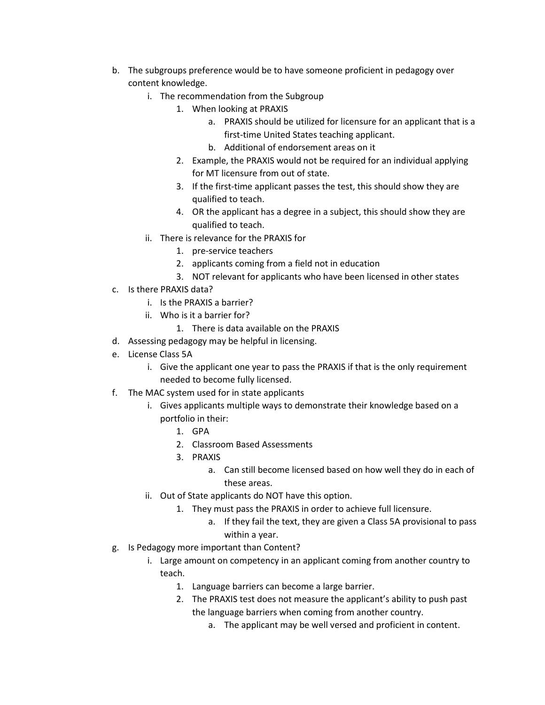- b. The subgroups preference would be to have someone proficient in pedagogy over content knowledge.
	- i. The recommendation from the Subgroup
		- 1. When looking at PRAXIS
			- a. PRAXIS should be utilized for licensure for an applicant that is a first-time United States teaching applicant.
			- b. Additional of endorsement areas on it
		- 2. Example, the PRAXIS would not be required for an individual applying for MT licensure from out of state.
		- 3. If the first-time applicant passes the test, this should show they are qualified to teach.
		- 4. OR the applicant has a degree in a subject, this should show they are qualified to teach.
	- ii. There is relevance for the PRAXIS for
		- 1. pre-service teachers
		- 2. applicants coming from a field not in education
		- 3. NOT relevant for applicants who have been licensed in other states
- c. Is there PRAXIS data?
	- i. Is the PRAXIS a barrier?
	- ii. Who is it a barrier for?
		- 1. There is data available on the PRAXIS
- d. Assessing pedagogy may be helpful in licensing.
- e. License Class 5A
	- i. Give the applicant one year to pass the PRAXIS if that is the only requirement needed to become fully licensed.
- f. The MAC system used for in state applicants
	- i. Gives applicants multiple ways to demonstrate their knowledge based on a portfolio in their:
		- 1. GPA
		- 2. Classroom Based Assessments
		- 3. PRAXIS
			- a. Can still become licensed based on how well they do in each of these areas.
	- ii. Out of State applicants do NOT have this option.
		- 1. They must pass the PRAXIS in order to achieve full licensure.
			- a. If they fail the text, they are given a Class 5A provisional to pass within a year.
- g. Is Pedagogy more important than Content?
	- i. Large amount on competency in an applicant coming from another country to teach.
		- 1. Language barriers can become a large barrier.
		- 2. The PRAXIS test does not measure the applicant's ability to push past the language barriers when coming from another country.
			- a. The applicant may be well versed and proficient in content.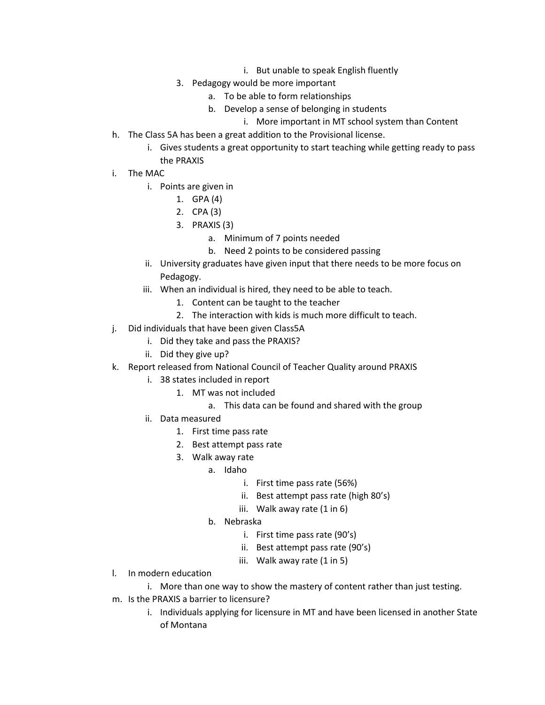- i. But unable to speak English fluently
- 3. Pedagogy would be more important
	- a. To be able to form relationships
	- b. Develop a sense of belonging in students
		- i. More important in MT school system than Content
- h. The Class 5A has been a great addition to the Provisional license.
	- i. Gives students a great opportunity to start teaching while getting ready to pass the PRAXIS
- i. The MAC
	- i. Points are given in
		- 1. GPA (4)
		- 2. CPA (3)
		- 3. PRAXIS (3)
			- a. Minimum of 7 points needed
			- b. Need 2 points to be considered passing
	- ii. University graduates have given input that there needs to be more focus on Pedagogy.
	- iii. When an individual is hired, they need to be able to teach.
		- 1. Content can be taught to the teacher
		- 2. The interaction with kids is much more difficult to teach.
- j. Did individuals that have been given Class5A
	- i. Did they take and pass the PRAXIS?
	- ii. Did they give up?
- k. Report released from National Council of Teacher Quality around PRAXIS
	- i. 38 states included in report
		- 1. MT was not included
			- a. This data can be found and shared with the group
	- ii. Data measured
		- 1. First time pass rate
		- 2. Best attempt pass rate
		- 3. Walk away rate
			- a. Idaho
				- i. First time pass rate (56%)
				- ii. Best attempt pass rate (high 80's)
				- iii. Walk away rate (1 in 6)
			- b. Nebraska
				- i. First time pass rate (90's)
				- ii. Best attempt pass rate (90's)
				- iii. Walk away rate (1 in 5)
- l. In modern education
	- i. More than one way to show the mastery of content rather than just testing.
- m. Is the PRAXIS a barrier to licensure?
	- i. Individuals applying for licensure in MT and have been licensed in another State of Montana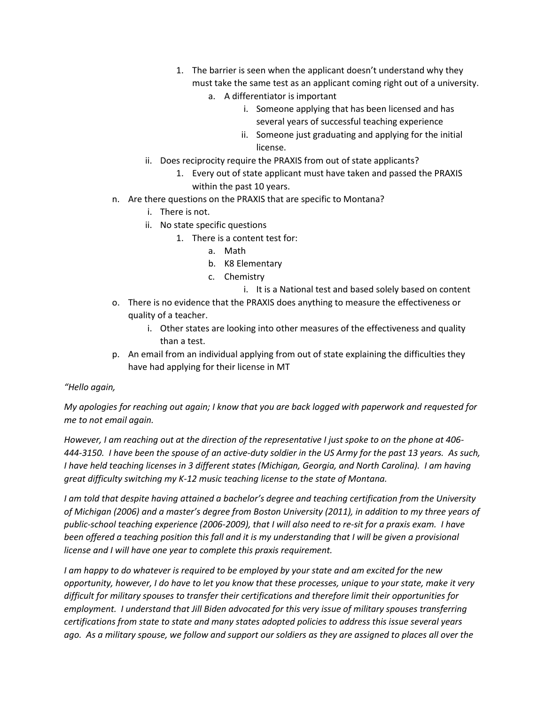- 1. The barrier is seen when the applicant doesn't understand why they must take the same test as an applicant coming right out of a university.
	- a. A differentiator is important
		- i. Someone applying that has been licensed and has several years of successful teaching experience
		- ii. Someone just graduating and applying for the initial license.
- ii. Does reciprocity require the PRAXIS from out of state applicants?
	- 1. Every out of state applicant must have taken and passed the PRAXIS within the past 10 years.
- n. Are there questions on the PRAXIS that are specific to Montana?
	- i. There is not.
	- ii. No state specific questions
		- 1. There is a content test for:
			- a. Math
			- b. K8 Elementary
			- c. Chemistry
				- i. It is a National test and based solely based on content
- o. There is no evidence that the PRAXIS does anything to measure the effectiveness or quality of a teacher.
	- i. Other states are looking into other measures of the effectiveness and quality than a test.
- p. An email from an individual applying from out of state explaining the difficulties they have had applying for their license in MT

#### *"Hello again,*

*My apologies for reaching out again; I know that you are back logged with paperwork and requested for me to not email again.*

*However, I am reaching out at the direction of the representative I just spoke to on the phone at 406- 444-3150. I have been the spouse of an active-duty soldier in the US Army for the past 13 years. As such, I have held teaching licenses in 3 different states (Michigan, Georgia, and North Carolina). I am having great difficulty switching my K-12 music teaching license to the state of Montana.* 

*I am told that despite having attained a bachelor's degree and teaching certification from the University of Michigan (2006) and a master's degree from Boston University (2011), in addition to my three years of public-school teaching experience (2006-2009), that I will also need to re-sit for a praxis exam. I have been offered a teaching position this fall and it is my understanding that I will be given a provisional license and I will have one year to complete this praxis requirement.*

*I am happy to do whatever is required to be employed by your state and am excited for the new opportunity, however, I do have to let you know that these processes, unique to your state, make it very difficult for military spouses to transfer their certifications and therefore limit their opportunities for employment. I understand that Jill Biden advocated for this very issue of military spouses transferring certifications from state to state and many states adopted policies to address this issue several years ago. As a military spouse, we follow and support our soldiers as they are assigned to places all over the*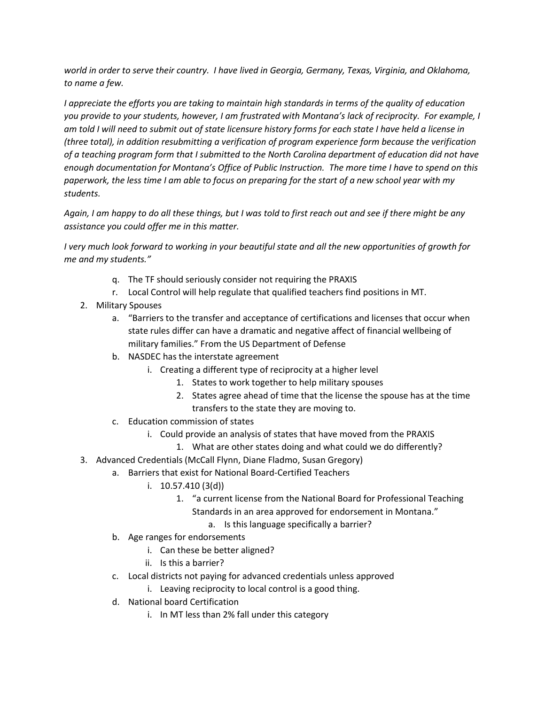*world in order to serve their country. I have lived in Georgia, Germany, Texas, Virginia, and Oklahoma, to name a few.* 

*I appreciate the efforts you are taking to maintain high standards in terms of the quality of education you provide to your students, however, I am frustrated with Montana's lack of reciprocity. For example, I am told I will need to submit out of state licensure history forms for each state I have held a license in (three total), in addition resubmitting a verification of program experience form because the verification of a teaching program form that I submitted to the North Carolina department of education did not have enough documentation for Montana's Office of Public Instruction. The more time I have to spend on this paperwork, the less time I am able to focus on preparing for the start of a new school year with my students.* 

*Again, I am happy to do all these things, but I was told to first reach out and see if there might be any assistance you could offer me in this matter.* 

*I very much look forward to working in your beautiful state and all the new opportunities of growth for me and my students."*

- q. The TF should seriously consider not requiring the PRAXIS
- r. Local Control will help regulate that qualified teachers find positions in MT.
- 2. Military Spouses
	- a. "Barriers to the transfer and acceptance of certifications and licenses that occur when state rules differ can have a dramatic and negative affect of financial wellbeing of military families." From the US Department of Defense
	- b. NASDEC has the interstate agreement
		- i. Creating a different type of reciprocity at a higher level
			- 1. States to work together to help military spouses
			- 2. States agree ahead of time that the license the spouse has at the time transfers to the state they are moving to.
	- c. Education commission of states
		- i. Could provide an analysis of states that have moved from the PRAXIS
			- 1. What are other states doing and what could we do differently?
- 3. Advanced Credentials (McCall Flynn, Diane Fladmo, Susan Gregory)
	- a. Barriers that exist for National Board-Certified Teachers
		- i. 10.57.410 (3(d))
			- 1. "a current license from the National Board for Professional Teaching
				- Standards in an area approved for endorsement in Montana."
					- a. Is this language specifically a barrier?
	- b. Age ranges for endorsements
		- i. Can these be better aligned?
		- ii. Is this a barrier?
	- c. Local districts not paying for advanced credentials unless approved
		- i. Leaving reciprocity to local control is a good thing.
	- d. National board Certification
		- i. In MT less than 2% fall under this category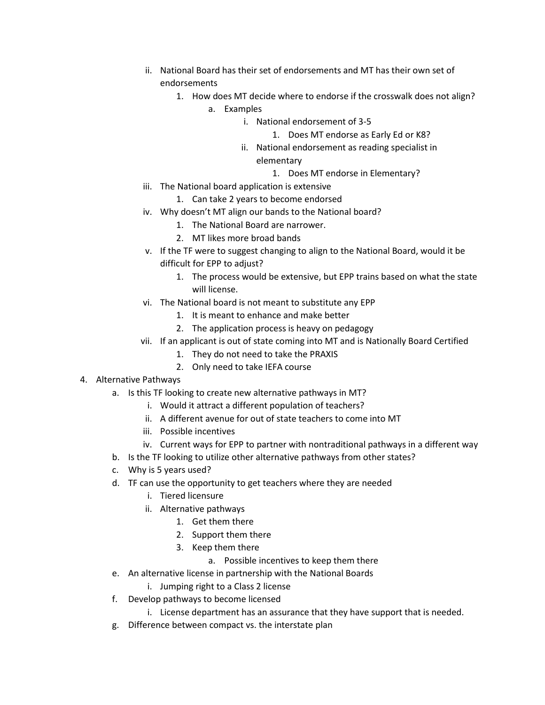- ii. National Board has their set of endorsements and MT has their own set of endorsements
	- 1. How does MT decide where to endorse if the crosswalk does not align?
		- a. Examples
			- i. National endorsement of 3-5
				- 1. Does MT endorse as Early Ed or K8?
			- ii. National endorsement as reading specialist in elementary
				- 1. Does MT endorse in Elementary?
- iii. The National board application is extensive
	- 1. Can take 2 years to become endorsed
- iv. Why doesn't MT align our bands to the National board?
	- 1. The National Board are narrower.
	- 2. MT likes more broad bands
- v. If the TF were to suggest changing to align to the National Board, would it be difficult for EPP to adjust?
	- 1. The process would be extensive, but EPP trains based on what the state will license.
- vi. The National board is not meant to substitute any EPP
	- 1. It is meant to enhance and make better
	- 2. The application process is heavy on pedagogy
- vii. If an applicant is out of state coming into MT and is Nationally Board Certified
	- 1. They do not need to take the PRAXIS
	- 2. Only need to take IEFA course
- 4. Alternative Pathways
	- a. Is this TF looking to create new alternative pathways in MT?
		- i. Would it attract a different population of teachers?
		- ii. A different avenue for out of state teachers to come into MT
		- iii. Possible incentives
		- iv. Current ways for EPP to partner with nontraditional pathways in a different way
	- b. Is the TF looking to utilize other alternative pathways from other states?
	- c. Why is 5 years used?
	- d. TF can use the opportunity to get teachers where they are needed
		- i. Tiered licensure
		- ii. Alternative pathways
			- 1. Get them there
			- 2. Support them there
			- 3. Keep them there
				- a. Possible incentives to keep them there
	- e. An alternative license in partnership with the National Boards
		- i. Jumping right to a Class 2 license
	- f. Develop pathways to become licensed
		- i. License department has an assurance that they have support that is needed.
	- g. Difference between compact vs. the interstate plan